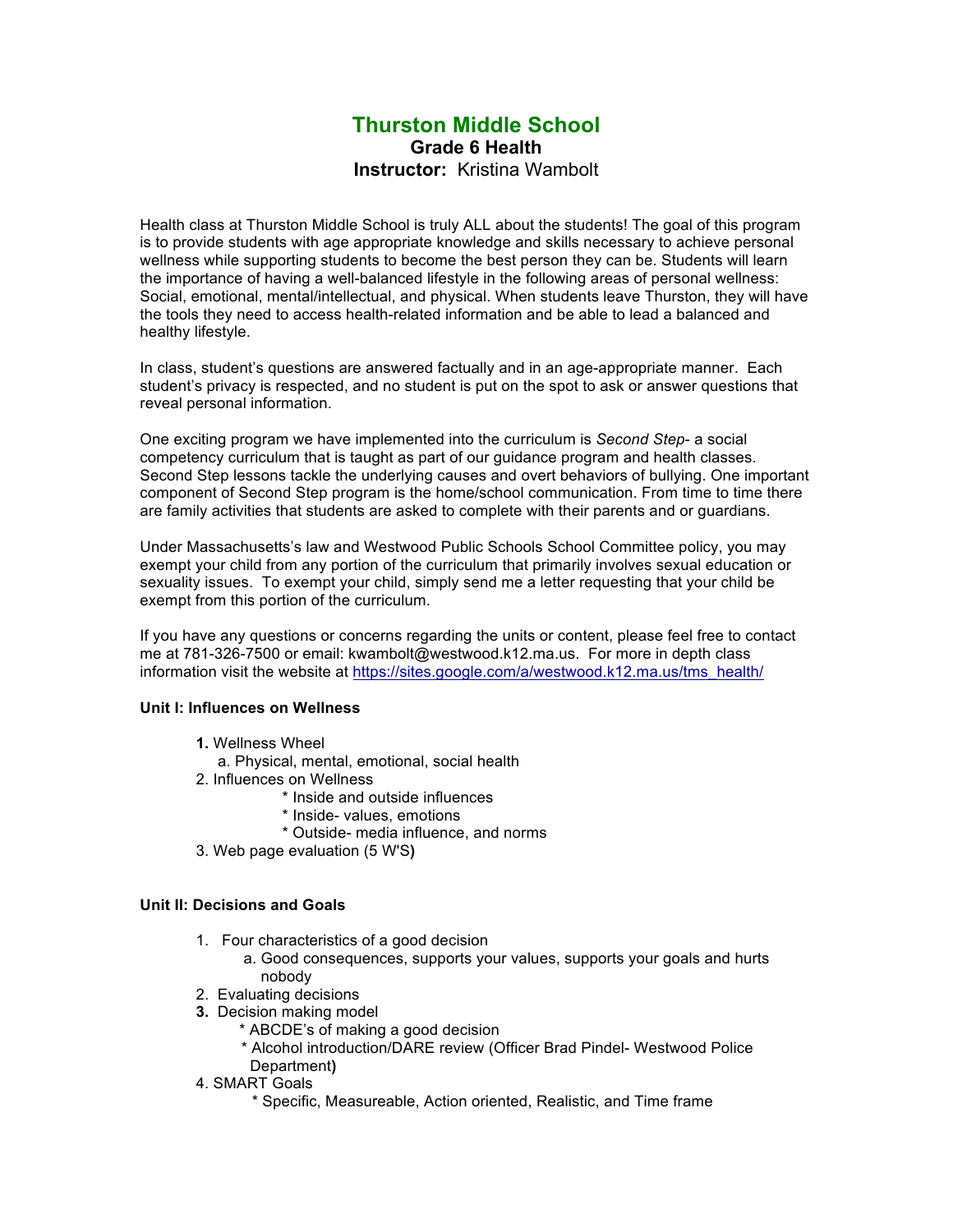# **Thurston Middle School Grade 6 Health Instructor:** Kristina Wambolt

Health class at Thurston Middle School is truly ALL about the students! The goal of this program is to provide students with age appropriate knowledge and skills necessary to achieve personal wellness while supporting students to become the best person they can be. Students will learn the importance of having a well-balanced lifestyle in the following areas of personal wellness: Social, emotional, mental/intellectual, and physical. When students leave Thurston, they will have the tools they need to access health-related information and be able to lead a balanced and healthy lifestyle.

In class, student's questions are answered factually and in an age-appropriate manner. Each student's privacy is respected, and no student is put on the spot to ask or answer questions that reveal personal information.

One exciting program we have implemented into the curriculum is *Second Step*- a social competency curriculum that is taught as part of our guidance program and health classes. Second Step lessons tackle the underlying causes and overt behaviors of bullying. One important component of Second Step program is the home/school communication. From time to time there are family activities that students are asked to complete with their parents and or guardians.

Under Massachusetts's law and Westwood Public Schools School Committee policy, you may exempt your child from any portion of the curriculum that primarily involves sexual education or sexuality issues. To exempt your child, simply send me a letter requesting that your child be exempt from this portion of the curriculum.

If you have any questions or concerns regarding the units or content, please feel free to contact me at 781-326-7500 or email: kwambolt@westwood.k12.ma.us. For more in depth class information visit the website at https://sites.google.com/a/westwood.k12.ma.us/tms\_health/

#### **Unit I: Influences on Wellness**

- **1.** Wellness Wheel
	- a. Physical, mental, emotional, social health
- 2. Influences on Wellness
	- \* Inside and outside influences
	- \* Inside- values, emotions
	- \* Outside- media influence, and norms
- 3. Web page evaluation (5 W'S**)**

#### **Unit II: Decisions and Goals**

- 1. Four characteristics of a good decision
	- a. Good consequences, supports your values, supports your goals and hurts nobody
- 2. Evaluating decisions
- **3.** Decision making model
	- \* ABCDE's of making a good decision
	- \* Alcohol introduction/DARE review (Officer Brad Pindel- Westwood Police Department**)**
- 4. SMART Goals
	- \* Specific, Measureable, Action oriented, Realistic, and Time frame